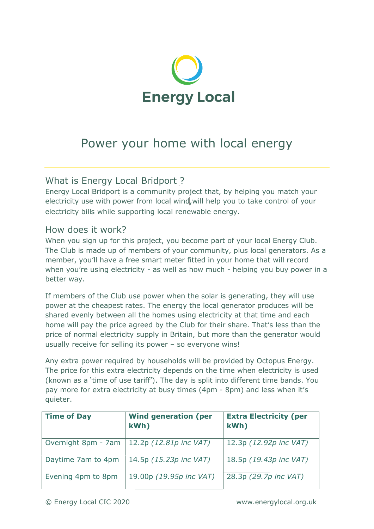

## Power your home with local energy Power your

## What is Energy Local Bridport ?

Energy Local Bridport is a community project that, by helping you match your electricity use with power from local wind, will help you to take control of your electricity bills while supporting local renewable energy. Energy Local Bridport is a community project that, by helping you match your<br>electricity use with power from local wind, will help you to take control of your<br>electricity bills while supporting local renewable energy.<br>How

## How does it work?

The Club is made up of members of your community, plus local generators. As a member, you'll have a free smart meter fitted in your home that will record member, you'll have a free smart meter fitted in your home that will record<br>when you're using electricity - as well as how much - helping you buy power in a better way.

If members of the Club use power when the solar is generating, they will use power at the cheapest rates. The energy the local generator produces will be shared evenly between all the homes using electricity at that time and each power at the cheapest rates. The energy the local generator produces will be<br>shared evenly between all the homes using electricity at that time and each<br>home will pay the price agreed by the Club for their share. That's le price of normal electricity supply in Britain, but more than the generator would usually receive for selling its power – so everyone wins!

Any extra power required by households will be provided by Octopus Energy. The price for this extra electricity depends on the time when electricity is used The price for this extra electricity depends on the time when electricity is used<br>(known as a 'time of use tariff'). The day is split into different time bands. You pay more for extra electricity at busy times ( (4pm - 8pm) and less when it's ) quieter.

| <b>Time of Day</b>  | <b>Wind generation (per</b><br>kWh) | <b>Extra Electricity (per</b><br>kWh) |
|---------------------|-------------------------------------|---------------------------------------|
| Overnight 8pm - 7am | 12.2p (12.81p inc VAT)              | 12.3p (12.92p inc VAT)                |
| Daytime 7am to 4pm  | 14.5p (15.23p inc VAT)              | 18.5p (19.43p inc VAT)                |
| Evening 4pm to 8pm  | 19.00p (19.95p inc VAT)             | 28.3p (29.7p inc VAT)                 |